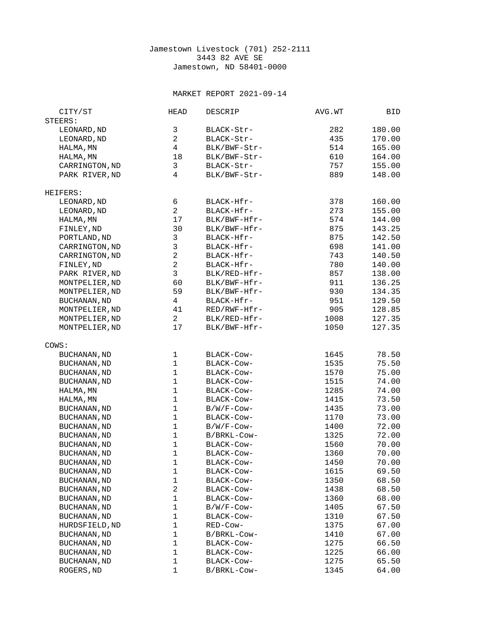## Jamestown Livestock (701) 252-2111 3443 82 AVE SE Jamestown, ND 58401-0000

## MARKET REPORT 2021-09-14

| CITY/ST             | <b>HEAD</b>    | <b>DESCRIP</b> | AVG.WT | BID    |
|---------------------|----------------|----------------|--------|--------|
| STEERS:             |                |                |        |        |
| LEONARD, ND         | 3              | BLACK-Str-     | 282    | 180.00 |
| LEONARD, ND         | $\overline{2}$ | BLACK-Str-     | 435    | 170.00 |
| HALMA, MN           | $\overline{4}$ | BLK/BWF-Str-   | 514    | 165.00 |
| HALMA, MN           | 18             | BLK/BWF-Str-   | 610    | 164.00 |
| CARRINGTON, ND      | 3              | BLACK-Str-     | 757    | 155.00 |
| PARK RIVER, ND      | 4              | BLK/BWF-Str-   | 889    | 148.00 |
| HEIFERS:            |                |                |        |        |
| LEONARD, ND         | 6              | BLACK-Hfr-     | 378    | 160.00 |
| LEONARD, ND         | $\overline{2}$ | BLACK-Hfr-     | 273    | 155.00 |
| HALMA, MN           | 17             | BLK/BWF-Hfr-   | 574    | 144.00 |
| FINLEY, ND          | 30             | BLK/BWF-Hfr-   | 875    | 143.25 |
| PORTLAND, ND        | 3              | BLACK-Hfr-     | 875    | 142.50 |
| CARRINGTON, ND      | 3              | BLACK-Hfr-     | 698    | 141.00 |
| CARRINGTON, ND      | $\overline{2}$ | BLACK-Hfr-     | 743    | 140.50 |
| FINLEY, ND          | $\overline{c}$ | BLACK-Hfr-     | 780    | 140.00 |
| PARK RIVER, ND      | 3              | BLK/RED-Hfr-   | 857    | 138.00 |
| MONTPELIER, ND      | 60             | BLK/BWF-Hfr-   | 911    | 136.25 |
| MONTPELIER, ND      | 59             | BLK/BWF-Hfr-   | 930    | 134.35 |
| <b>BUCHANAN, ND</b> | $\overline{4}$ | BLACK-Hfr-     | 951    | 129.50 |
| MONTPELIER, ND      | 41             | RED/RWF-Hfr-   | 905    | 128.85 |
| MONTPELIER, ND      | $\overline{2}$ | BLK/RED-Hfr-   | 1008   | 127.35 |
| MONTPELIER, ND      | 17             | BLK/BWF-Hfr-   | 1050   | 127.35 |
| COWS:               |                |                |        |        |
| <b>BUCHANAN, ND</b> | 1              | BLACK-Cow-     | 1645   | 78.50  |
| <b>BUCHANAN, ND</b> | $\mathbf{1}$   | BLACK-Cow-     | 1535   | 75.50  |
| BUCHANAN, ND        | $\mathbf{1}$   | BLACK-COW-     | 1570   | 75.00  |
| <b>BUCHANAN, ND</b> | $\mathbf{1}$   | BLACK-COW-     | 1515   | 74.00  |
| HALMA, MN           | $\mathbf 1$    | BLACK-Cow-     | 1285   | 74.00  |
| HALMA, MN           | $\mathbf{1}$   | BLACK-COW-     | 1415   | 73.50  |
| <b>BUCHANAN, ND</b> | $\mathbf{1}$   | $B/W/F$ -Cow-  | 1435   | 73.00  |
| BUCHANAN, ND        | 1              | BLACK-COW-     | 1170   | 73.00  |
| <b>BUCHANAN, ND</b> | $\mathbf{1}$   | B/W/F-Cow-     | 1400   | 72.00  |
| <b>BUCHANAN, ND</b> | 1              | B/BRKL-Cow-    | 1325   | 72.00  |
| <b>BUCHANAN, ND</b> | $\mathbf{1}$   | BLACK-Cow-     | 1560   | 70.00  |
| <b>BUCHANAN, ND</b> | $\mathbf{1}$   | BLACK-Cow-     | 1360   | 70.00  |
| <b>BUCHANAN, ND</b> | $\mathbf 1$    | BLACK-Cow-     | 1450   | 70.00  |
| <b>BUCHANAN, ND</b> | 1              | BLACK-Cow-     | 1615   | 69.50  |
| <b>BUCHANAN, ND</b> | 1              | BLACK-Cow-     | 1350   | 68.50  |
| <b>BUCHANAN, ND</b> | $\overline{c}$ | BLACK-COW-     | 1438   | 68.50  |
| <b>BUCHANAN, ND</b> | $\mathbf{1}$   | BLACK-Cow-     | 1360   | 68.00  |
| <b>BUCHANAN, ND</b> | $\mathbf{1}$   | B/W/F-Cow-     | 1405   | 67.50  |
| <b>BUCHANAN, ND</b> | 1              | BLACK-COW-     | 1310   | 67.50  |
| HURDSFIELD, ND      | $\mathbf{1}$   | RED-Cow-       | 1375   | 67.00  |
| <b>BUCHANAN, ND</b> | $\mathbf{1}$   | B/BRKL-Cow-    | 1410   | 67.00  |
| <b>BUCHANAN, ND</b> | $\mathbf{1}$   | BLACK-Cow-     | 1275   | 66.50  |
| <b>BUCHANAN, ND</b> | $\mathbf{1}$   | BLACK-Cow-     | 1225   | 66.00  |
| <b>BUCHANAN, ND</b> | $\mathbf 1$    | BLACK-Cow-     | 1275   | 65.50  |
| ROGERS, ND          | $\mathbf{1}$   | B/BRKL-Cow-    | 1345   | 64.00  |
|                     |                |                |        |        |